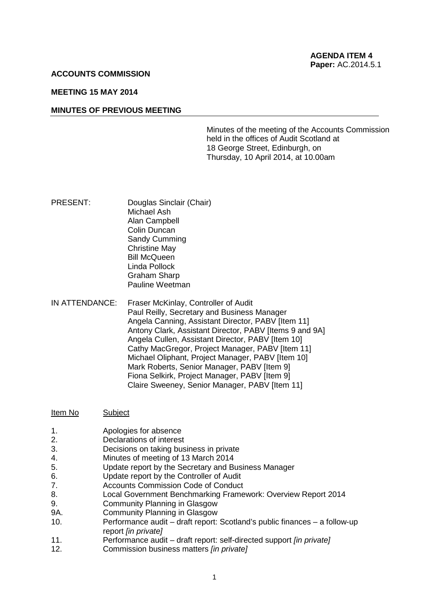### **ACCOUNTS COMMISSION**

# **MEETING 15 MAY 2014**

## **MINUTES OF PREVIOUS MEETING**

Minutes of the meeting of the Accounts Commission held in the offices of Audit Scotland at 18 George Street, Edinburgh, on Thursday, 10 April 2014, at 10.00am

- PRESENT: Douglas Sinclair (Chair) Michael Ash Alan Campbell Colin Duncan Sandy Cumming Christine May Bill McQueen Linda Pollock Graham Sharp Pauline Weetman
- IN ATTENDANCE: Fraser McKinlay, Controller of Audit Paul Reilly, Secretary and Business Manager Angela Canning, Assistant Director, PABV [Item 11] Antony Clark, Assistant Director, PABV [Items 9 and 9A] Angela Cullen, Assistant Director, PABV [Item 10] Cathy MacGregor, Project Manager, PABV [Item 11] Michael Oliphant, Project Manager, PABV [Item 10] Mark Roberts, Senior Manager, PABV [Item 9] Fiona Selkirk, Project Manager, PABV [Item 9] Claire Sweeney, Senior Manager, PABV [Item 11]

| Item No | Subject |  |
|---------|---------|--|
|---------|---------|--|

- 1. Apologies for absence
- 2. Declarations of interest
- 3. Decisions on taking business in private
- 4. Minutes of meeting of 13 March 2014
- 5. Update report by the Secretary and Business Manager
- 6. Update report by the Controller of Audit
- 7. Accounts Commission Code of Conduct
- 8. Local Government Benchmarking Framework: Overview Report 2014
- 9. Community Planning in Glasgow
- 9A. Community Planning in Glasgow
- 10. Performance audit draft report: Scotland's public finances a follow-up report *[in private]*
- 11. Performance audit draft report: self-directed support *[in private]*
- 12. Commission business matters *[in private]*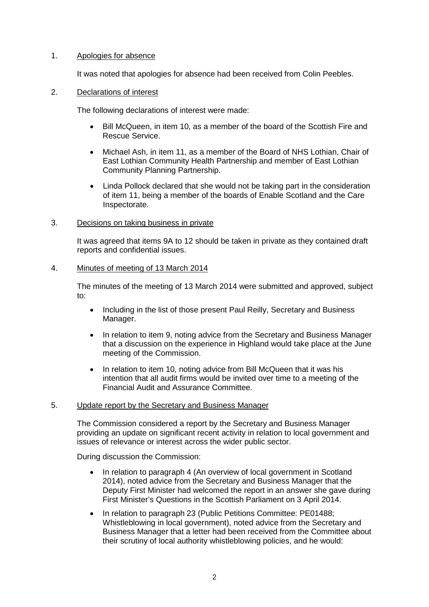# 1. Apologies for absence

It was noted that apologies for absence had been received from Colin Peebles.

# 2. Declarations of interest

The following declarations of interest were made:

- Bill McQueen, in item 10, as a member of the board of the Scottish Fire and Rescue Service.
- Michael Ash, in item 11, as a member of the Board of NHS Lothian, Chair of East Lothian Community Health Partnership and member of East Lothian Community Planning Partnership.
- Linda Pollock declared that she would not be taking part in the consideration of item 11, being a member of the boards of Enable Scotland and the Care Inspectorate.
- 3. Decisions on taking business in private

It was agreed that items 9A to 12 should be taken in private as they contained draft reports and confidential issues.

## 4. Minutes of meeting of 13 March 2014

The minutes of the meeting of 13 March 2014 were submitted and approved, subject to:

- Including in the list of those present Paul Reilly, Secretary and Business Manager.
- In relation to item 9, noting advice from the Secretary and Business Manager that a discussion on the experience in Highland would take place at the June meeting of the Commission.
- In relation to item 10, noting advice from Bill McQueen that it was his intention that all audit firms would be invited over time to a meeting of the Financial Audit and Assurance Committee.

### 5. Update report by the Secretary and Business Manager

The Commission considered a report by the Secretary and Business Manager providing an update on significant recent activity in relation to local government and issues of relevance or interest across the wider public sector.

During discussion the Commission:

- In relation to paragraph 4 (An overview of local government in Scotland 2014), noted advice from the Secretary and Business Manager that the Deputy First Minister had welcomed the report in an answer she gave during First Minister's Questions in the Scottish Parliament on 3 April 2014.
- In relation to paragraph 23 (Public Petitions Committee: PE01488; Whistleblowing in local government), noted advice from the Secretary and Business Manager that a letter had been received from the Committee about their scrutiny of local authority whistleblowing policies, and he would: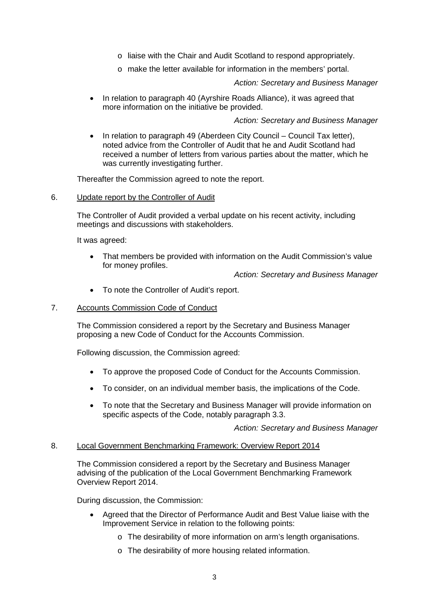- o liaise with the Chair and Audit Scotland to respond appropriately.
- o make the letter available for information in the members' portal.

# *Action: Secretary and Business Manager*

• In relation to paragraph 40 (Ayrshire Roads Alliance), it was agreed that more information on the initiative be provided.

## *Action: Secretary and Business Manager*

• In relation to paragraph 49 (Aberdeen City Council – Council Tax letter), noted advice from the Controller of Audit that he and Audit Scotland had received a number of letters from various parties about the matter, which he was currently investigating further.

Thereafter the Commission agreed to note the report.

## 6. Update report by the Controller of Audit

The Controller of Audit provided a verbal update on his recent activity, including meetings and discussions with stakeholders.

It was agreed:

• That members be provided with information on the Audit Commission's value for money profiles.

*Action: Secretary and Business Manager*

• To note the Controller of Audit's report.

# 7. Accounts Commission Code of Conduct

The Commission considered a report by the Secretary and Business Manager proposing a new Code of Conduct for the Accounts Commission.

Following discussion, the Commission agreed:

- To approve the proposed Code of Conduct for the Accounts Commission.
- To consider, on an individual member basis, the implications of the Code.
- To note that the Secretary and Business Manager will provide information on specific aspects of the Code, notably paragraph 3.3.

*Action: Secretary and Business Manager*

# 8. Local Government Benchmarking Framework: Overview Report 2014

The Commission considered a report by the Secretary and Business Manager advising of the publication of the Local Government Benchmarking Framework Overview Report 2014.

During discussion, the Commission:

- Agreed that the Director of Performance Audit and Best Value liaise with the Improvement Service in relation to the following points:
	- o The desirability of more information on arm's length organisations.
	- o The desirability of more housing related information.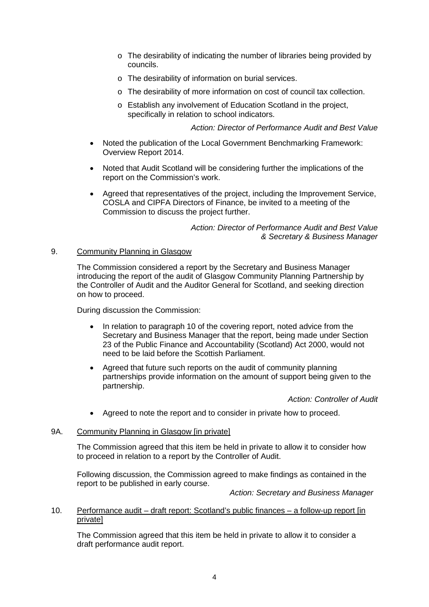- o The desirability of indicating the number of libraries being provided by councils.
- o The desirability of information on burial services.
- o The desirability of more information on cost of council tax collection.
- o Establish any involvement of Education Scotland in the project, specifically in relation to school indicators.

# *Action: Director of Performance Audit and Best Value*

- Noted the publication of the Local Government Benchmarking Framework: Overview Report 2014.
- Noted that Audit Scotland will be considering further the implications of the report on the Commission's work.
- Agreed that representatives of the project, including the Improvement Service, COSLA and CIPFA Directors of Finance, be invited to a meeting of the Commission to discuss the project further.

## *Action: Director of Performance Audit and Best Value & Secretary & Business Manager*

# 9. Community Planning in Glasgow

The Commission considered a report by the Secretary and Business Manager introducing the report of the audit of Glasgow Community Planning Partnership by the Controller of Audit and the Auditor General for Scotland, and seeking direction on how to proceed.

During discussion the Commission:

- In relation to paragraph 10 of the covering report, noted advice from the Secretary and Business Manager that the report, being made under Section 23 of the Public Finance and Accountability (Scotland) Act 2000, would not need to be laid before the Scottish Parliament.
- Agreed that future such reports on the audit of community planning partnerships provide information on the amount of support being given to the partnership.

*Action: Controller of Audit*

• Agreed to note the report and to consider in private how to proceed.

# 9A. Community Planning in Glasgow [in private]

The Commission agreed that this item be held in private to allow it to consider how to proceed in relation to a report by the Controller of Audit.

Following discussion, the Commission agreed to make findings as contained in the report to be published in early course.

*Action: Secretary and Business Manager*

# 10. Performance audit – draft report: Scotland's public finances – a follow-up report [in private]

The Commission agreed that this item be held in private to allow it to consider a draft performance audit report.